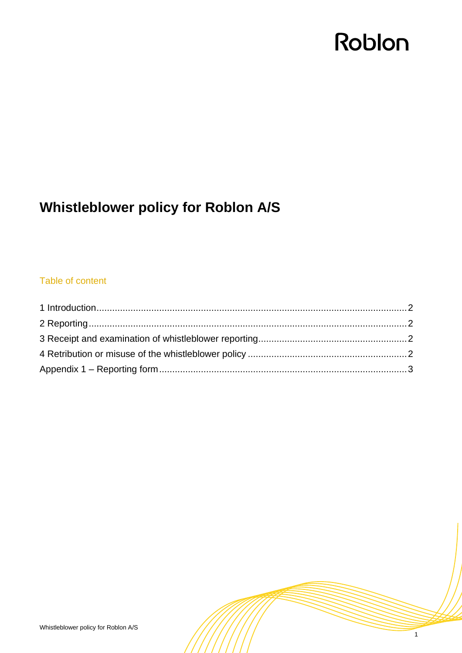# Roblon

## **Whistleblower policy for Roblon A/S**

### Table of content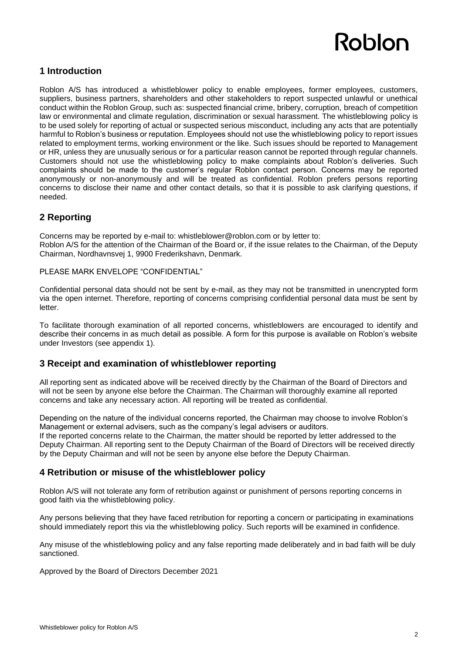# Roblon

#### <span id="page-1-0"></span>**1 Introduction**

Roblon A/S has introduced a whistleblower policy to enable employees, former employees, customers, suppliers, business partners, shareholders and other stakeholders to report suspected unlawful or unethical conduct within the Roblon Group, such as: suspected financial crime, bribery, corruption, breach of competition law or environmental and climate regulation, discrimination or sexual harassment. The whistleblowing policy is to be used solely for reporting of actual or suspected serious misconduct, including any acts that are potentially harmful to Roblon's business or reputation. Employees should not use the whistleblowing policy to report issues related to employment terms, working environment or the like. Such issues should be reported to Management or HR, unless they are unusually serious or for a particular reason cannot be reported through regular channels. Customers should not use the whistleblowing policy to make complaints about Roblon's deliveries. Such complaints should be made to the customer's regular Roblon contact person. Concerns may be reported anonymously or non-anonymously and will be treated as confidential. Roblon prefers persons reporting concerns to disclose their name and other contact details, so that it is possible to ask clarifying questions, if needed.

### <span id="page-1-1"></span>**2 Reporting**

Concerns may be reported by e-mail to: whistleblower@roblon.com or by letter to: Roblon A/S for the attention of the Chairman of the Board or, if the issue relates to the Chairman, of the Deputy Chairman, Nordhavnsvej 1, 9900 Frederikshavn, Denmark.

PLEASE MARK ENVELOPE "CONFIDENTIAL"

Confidential personal data should not be sent by e-mail, as they may not be transmitted in unencrypted form via the open internet. Therefore, reporting of concerns comprising confidential personal data must be sent by letter.

To facilitate thorough examination of all reported concerns, whistleblowers are encouraged to identify and describe their concerns in as much detail as possible. A form for this purpose is available on Roblon's website under Investors (see appendix 1).

#### <span id="page-1-2"></span>**3 Receipt and examination of whistleblower reporting**

All reporting sent as indicated above will be received directly by the Chairman of the Board of Directors and will not be seen by anyone else before the Chairman. The Chairman will thoroughly examine all reported concerns and take any necessary action. All reporting will be treated as confidential.

Depending on the nature of the individual concerns reported, the Chairman may choose to involve Roblon's Management or external advisers, such as the company's legal advisers or auditors. If the reported concerns relate to the Chairman, the matter should be reported by letter addressed to the Deputy Chairman. All reporting sent to the Deputy Chairman of the Board of Directors will be received directly by the Deputy Chairman and will not be seen by anyone else before the Deputy Chairman.

#### <span id="page-1-3"></span>**4 Retribution or misuse of the whistleblower policy**

Roblon A/S will not tolerate any form of retribution against or punishment of persons reporting concerns in good faith via the whistleblowing policy.

Any persons believing that they have faced retribution for reporting a concern or participating in examinations should immediately report this via the whistleblowing policy. Such reports will be examined in confidence.

Any misuse of the whistleblowing policy and any false reporting made deliberately and in bad faith will be duly sanctioned.

Approved by the Board of Directors December 2021